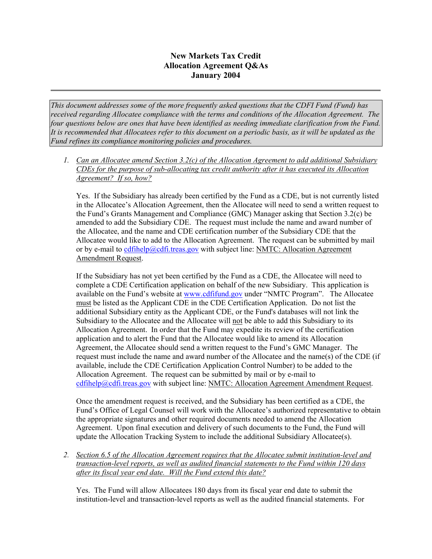## **New Markets Tax Credit Allocation Agreement Q&As January 2004**

*This document addresses some of the more frequently asked questions that the CDFI Fund (Fund) has received regarding Allocatee compliance with the terms and conditions of the Allocation Agreement. The four questions below are ones that have been identified as needing immediate clarification from the Fund. It is recommended that Allocatees refer to this document on a periodic basis, as it will be updated as the Fund refines its compliance monitoring policies and procedures.* 

*1. Can an Allocatee amend Section 3.2(c) of the Allocation Agreement to add additional Subsidiary CDEs for the purpose of sub-allocating tax credit authority after it has executed its Allocation Agreement? If so, how?*

Yes. If the Subsidiary has already been certified by the Fund as a CDE, but is not currently listed in the Allocatee's Allocation Agreement, then the Allocatee will need to send a written request to the Fund's Grants Management and Compliance (GMC) Manager asking that Section 3.2(c) be amended to add the Subsidiary CDE. The request must include the name and award number of the Allocatee, and the name and CDE certification number of the Subsidiary CDE that the Allocatee would like to add to the Allocation Agreement. The request can be submitted by mail or by e-mail to [cdfihelp@cdfi.treas.gov](mailto:cdfihelp@cdfi.treas.gov) with subject line: NMTC: Allocation Agreement Amendment Request.

If the Subsidiary has not yet been certified by the Fund as a CDE, the Allocatee will need to complete a CDE Certification application on behalf of the new Subsidiary. This application is available on the Fund's website at [www.cdfifund.gov](http://www.cdfifund.gov/) under "NMTC Program". The Allocatee must be listed as the Applicant CDE in the CDE Certification Application. Do not list the additional Subsidiary entity as the Applicant CDE, or the Fund's databases will not link the Subsidiary to the Allocatee and the Allocatee will not be able to add this Subsidiary to its Allocation Agreement. In order that the Fund may expedite its review of the certification application and to alert the Fund that the Allocatee would like to amend its Allocation Agreement, the Allocatee should send a written request to the Fund's GMC Manager. The request must include the name and award number of the Allocatee and the name(s) of the CDE (if available, include the CDE Certification Application Control Number) to be added to the Allocation Agreement. The request can be submitted by mail or by e-mail to [cdfihelp@cdfi.treas.gov](mailto:cdfihelp@cdfi.treas.gov) with subject line: NMTC: Allocation Agreement Amendment Request.

Once the amendment request is received, and the Subsidiary has been certified as a CDE, the Fund's Office of Legal Counsel will work with the Allocatee's authorized representative to obtain the appropriate signatures and other required documents needed to amend the Allocation Agreement. Upon final execution and delivery of such documents to the Fund, the Fund will update the Allocation Tracking System to include the additional Subsidiary Allocatee(s).

*2. Section 6.5 of the Allocation Agreement requires that the Allocatee submit institution-level and transaction-level reports, as well as audited financial statements to the Fund within 120 days after its fiscal year end date. Will the Fund extend this date?*

Yes. The Fund will allow Allocatees 180 days from its fiscal year end date to submit the institution-level and transaction-level reports as well as the audited financial statements. For